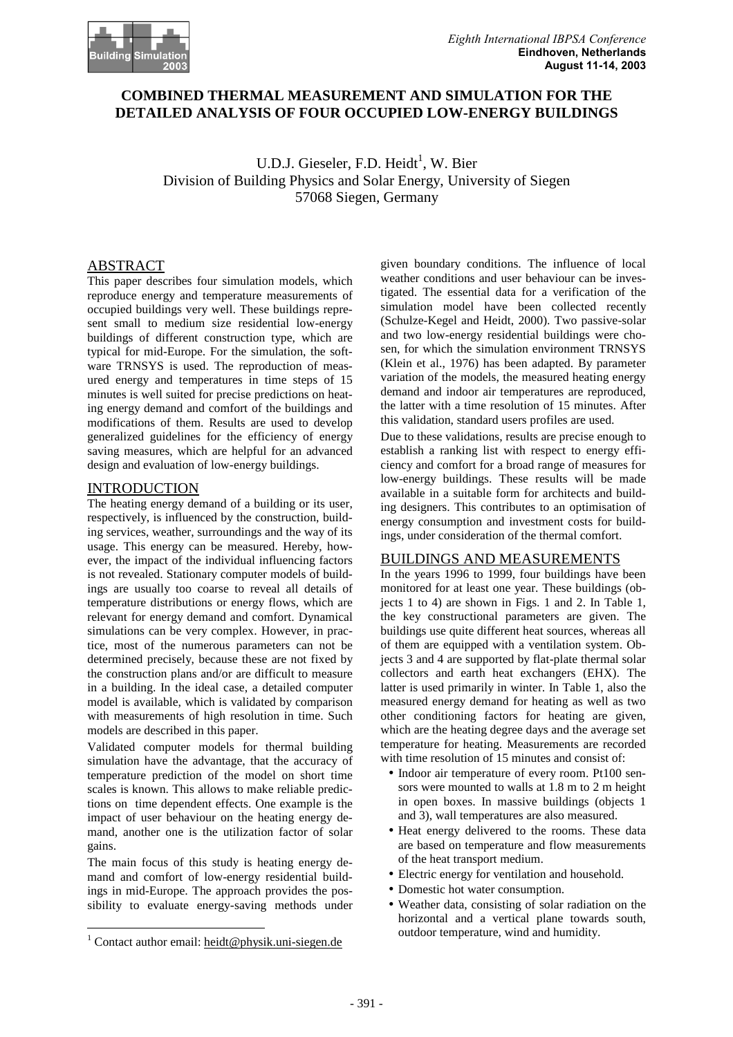

# **COMBINED THERMAL MEASUREMENT AND SIMULATION FOR THE DETAILED ANALYSIS OF FOUR OCCUPIED LOW-ENERGY BUILDINGS**

U.D.J. Gieseler, F.D. Heidt<sup>1</sup>, W. Bier Division of Building Physics and Solar Energy, University of Siegen 57068 Siegen, Germany

# **ABSTRACT**

This paper describes four simulation models, which reproduce energy and temperature measurements of occupied buildings very well. These buildings represent small to medium size residential low-energy buildings of different construction type, which are typical for mid-Europe. For the simulation, the software TRNSYS is used. The reproduction of measured energy and temperatures in time steps of 15 minutes is well suited for precise predictions on heating energy demand and comfort of the buildings and modifications of them. Results are used to develop generalized guidelines for the efficiency of energy saving measures, which are helpful for an advanced design and evaluation of low-energy buildings.

### INTRODUCTION

The heating energy demand of a building or its user, respectively, is influenced by the construction, building services, weather, surroundings and the way of its usage. This energy can be measured. Hereby, however, the impact of the individual influencing factors is not revealed. Stationary computer models of buildings are usually too coarse to reveal all details of temperature distributions or energy flows, which are relevant for energy demand and comfort. Dynamical simulations can be very complex. However, in practice, most of the numerous parameters can not be determined precisely, because these are not fixed by the construction plans and/or are difficult to measure in a building. In the ideal case, a detailed computer model is available, which is validated by comparison with measurements of high resolution in time. Such models are described in this paper.

Validated computer models for thermal building simulation have the advantage, that the accuracy of temperature prediction of the model on short time scales is known. This allows to make reliable predictions on time dependent effects. One example is the impact of user behaviour on the heating energy demand, another one is the utilization factor of solar gains.

The main focus of this study is heating energy demand and comfort of low-energy residential buildings in mid-Europe. The approach provides the possibility to evaluate energy-saving methods under

 $\overline{a}$ 

given boundary conditions. The influence of local weather conditions and user behaviour can be investigated. The essential data for a verification of the simulation model have been collected recently (Schulze-Kegel and Heidt, 2000). Two passive-solar and two low-energy residential buildings were chosen, for which the simulation environment TRNSYS (Klein et al., 1976) has been adapted. By parameter variation of the models, the measured heating energy demand and indoor air temperatures are reproduced, the latter with a time resolution of 15 minutes. After this validation, standard users profiles are used.

Due to these validations, results are precise enough to establish a ranking list with respect to energy efficiency and comfort for a broad range of measures for low-energy buildings. These results will be made available in a suitable form for architects and building designers. This contributes to an optimisation of energy consumption and investment costs for buildings, under consideration of the thermal comfort.

### BUILDINGS AND MEASUREMENTS

In the years 1996 to 1999, four buildings have been monitored for at least one year. These buildings (objects 1 to 4) are shown in Figs. 1 and 2. In Table 1, the key constructional parameters are given. The buildings use quite different heat sources, whereas all of them are equipped with a ventilation system. Objects 3 and 4 are supported by flat-plate thermal solar collectors and earth heat exchangers (EHX). The latter is used primarily in winter. In Table 1, also the measured energy demand for heating as well as two other conditioning factors for heating are given, which are the heating degree days and the average set temperature for heating. Measurements are recorded with time resolution of 15 minutes and consist of:

- Indoor air temperature of every room. Pt100 sensors were mounted to walls at 1.8 m to 2 m height in open boxes. In massive buildings (objects 1 and 3), wall temperatures are also measured.
- •Heat energy delivered to the rooms. These data are based on temperature and flow measurements of the heat transport medium.
- Electric energy for ventilation and household.
- Domestic hot water consumption.
- •Weather data, consisting of solar radiation on the horizontal and a vertical plane towards south, outdoor temperature, wind and humidity.

<sup>&</sup>lt;sup>1</sup> Contact author email: heidt@physik.uni-siegen.de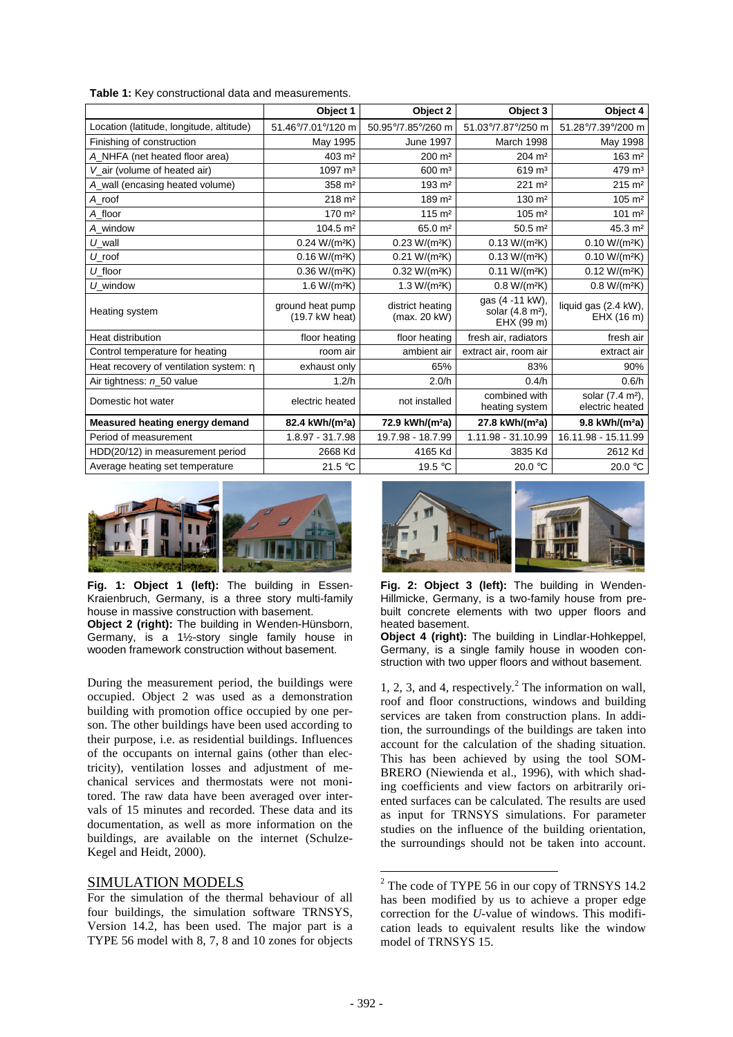**Table 1:** Key constructional data and measurements.

|                                          | Object 1                           | Object 2                         | Object 3                                                      | Object 4                           |
|------------------------------------------|------------------------------------|----------------------------------|---------------------------------------------------------------|------------------------------------|
| Location (latitude, longitude, altitude) | 51.46°/7.01°/120 m                 | 50.95°/7.85°/260 m               | 51.03°/7.87°/250 m                                            | 51.28°/7.39°/200 m                 |
| Finishing of construction                | May 1995                           | <b>June 1997</b>                 | March 1998                                                    | May 1998                           |
| A NHFA (net heated floor area)           | 403 m <sup>2</sup>                 | 200 m <sup>2</sup>               | 204 m <sup>2</sup>                                            | 163 m <sup>2</sup>                 |
| V_air (volume of heated air)             | $1097 \text{ m}^3$                 | $600 \; \text{m}^3$              | $619 \; \text{m}^3$                                           | $479 \text{ m}^3$                  |
| A_wall (encasing heated volume)          | $358 \text{ m}^2$                  | $193 \; \text{m}^2$              | $221 \text{ m}^2$                                             | $215 \text{ m}^2$                  |
| A roof                                   | $218 \text{ m}^2$                  | 189 m <sup>2</sup>               | 130 m <sup>2</sup>                                            | 105 m <sup>2</sup>                 |
| A floor                                  | 170 m <sup>2</sup>                 | $115 \; m2$                      | $105 \; \text{m}^2$                                           | $101 \; \text{m}^2$                |
| A_window                                 | $104.5 \text{ m}^2$                | 65.0 m <sup>2</sup>              | $50.5 \; \text{m}^2$                                          | 45.3 m <sup>2</sup>                |
| $U$ <sub>_</sub> wall                    | $0.24 W/(m^2K)$                    | $0.23 W/(m^2K)$                  | $0.13 W/(m^2K)$                                               | $0.10 W/(m^2K)$                    |
| $U$ roof                                 | $0.16 W/(m^2K)$                    | 0.21 W/(m <sup>2</sup> K)        | $0.13 W/(m^2K)$                                               | $0.10 W/(m^2K)$                    |
| $U$ floor                                | $0.36 W/(m^2K)$                    | $0.32 W/(m^2K)$                  | $0.11 W/(m^2K)$                                               | $0.12 W/(m^2K)$                    |
| $U$ window                               | $1.6 W/(m^2K)$                     | $1.3 W/(m^2K)$                   | $0.8 W/(m^2K)$                                                | $0.8 W/(m^2K)$                     |
| Heating system                           | ground heat pump<br>(19.7 kW heat) | district heating<br>(max. 20 kW) | gas (4 -11 kW),<br>solar (4.8 m <sup>2</sup> ).<br>EHX (99 m) | liquid gas (2.4 kW),<br>EHX (16 m) |
| Heat distribution                        | floor heating                      | floor heating                    | fresh air, radiators                                          | fresh air                          |
| Control temperature for heating          | room air                           | ambient air                      | extract air, room air                                         | extract air                        |
| Heat recovery of ventilation system: $h$ | exhaust only                       | 65%                              | 83%                                                           | 90%                                |
| Air tightness: n_50 value                | 1.2/h                              | 2.0/h                            | 0.4/h                                                         | 0.6/h                              |
| Domestic hot water                       | electric heated                    | not installed                    | combined with<br>heating system                               |                                    |
| Measured heating energy demand           | 82.4 kWh/(m <sup>2</sup> a)        | 72.9 kWh/(m <sup>2</sup> a)      | 27.8 kWh/(m <sup>2</sup> a)                                   | 9.8 kWh/(m <sup>2</sup> a)         |
| Period of measurement                    | 1.8.97 - 31.7.98                   | 19.7.98 - 18.7.99                | 1.11.98 - 31.10.99                                            | 16.11.98 - 15.11.99                |
| HDD(20/12) in measurement period         | 2668 Kd                            | 4165 Kd                          | 3835 Kd                                                       | 2612 Kd                            |
| Average heating set temperature          | 21.5 $\degree$ C                   | 19.5 °C                          | 20.0 $\degree$ C                                              | 20.0 °C                            |



**Fig. 1: Object 1 (left):** The building in Essen-Kraienbruch, Germany, is a three story multi-family house in massive construction with basement. **Object 2 (right):** The building in Wenden-Hünsborn, Germany, is a 1½-story single family house in wooden framework construction without basement.

During the measurement period, the buildings were occupied. Object 2 was used as a demonstration building with promotion office occupied by one person. The other buildings have been used according to their purpose, i.e. as residential buildings. Influences of the occupants on internal gains (other than electricity), ventilation losses and adjustment of mechanical services and thermostats were not monitored. The raw data have been averaged over intervals of 15 minutes and recorded. These data and its documentation, as well as more information on the buildings, are available on the internet (Schulze-Kegel and Heidt, 2000).

### SIMULATION MODELS

For the simulation of the thermal behaviour of all four buildings, the simulation software TRNSYS, Version 14.2, has been used. The major part is a TYPE 56 model with 8, 7, 8 and 10 zones for objects





**Object 4 (right):** The building in Lindlar-Hohkeppel, Germany, is a single family house in wooden construction with two upper floors and without basement.

1, 2, 3, and 4, respectively.<sup>2</sup> The information on wall, roof and floor constructions, windows and building services are taken from construction plans. In addition, the surroundings of the buildings are taken into account for the calculation of the shading situation. This has been achieved by using the tool SOM-BRERO (Niewienda et al., 1996), with which shading coefficients and view factors on arbitrarily oriented surfaces can be calculated. The results are used as input for TRNSYS simulations. For parameter studies on the influence of the building orientation, the surroundings should not be taken into account.

 $\overline{a}$ 

 $2^2$  The code of TYPE 56 in our copy of TRNSYS 14.2 has been modified by us to achieve a proper edge correction for the *U*-value of windows. This modification leads to equivalent results like the window model of TRNSYS 15.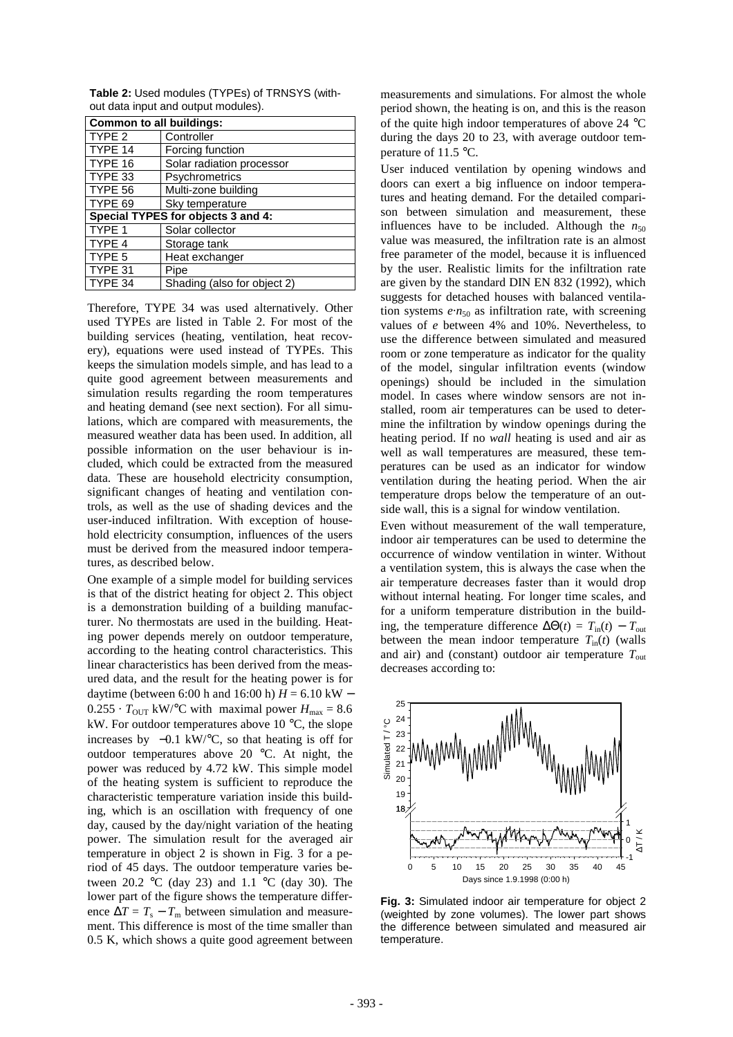| <b>Common to all buildings:</b>    |                             |  |  |
|------------------------------------|-----------------------------|--|--|
| TYPE 2                             | Controller                  |  |  |
| TYPE 14                            | Forcing function            |  |  |
| TYPE 16                            | Solar radiation processor   |  |  |
| TYPE 33                            | Psychrometrics              |  |  |
| TYPE 56                            | Multi-zone building         |  |  |
| TYPE 69                            | Sky temperature             |  |  |
| Special TYPES for objects 3 and 4: |                             |  |  |
| TYPE 1                             | Solar collector             |  |  |
| TYPE 4                             | Storage tank                |  |  |
| TYPE 5                             | Heat exchanger              |  |  |
| TYPE 31                            | Pipe                        |  |  |
| TYPE 34                            | Shading (also for object 2) |  |  |

**Table 2:** Used modules (TYPEs) of TRNSYS (without data input and output modules).

Therefore, TYPE 34 was used alternatively. Other used TYPEs are listed in Table 2. For most of the building services (heating, ventilation, heat recovery), equations were used instead of TYPEs. This keeps the simulation models simple, and has lead to a quite good agreement between measurements and simulation results regarding the room temperatures and heating demand (see next section). For all simulations, which are compared with measurements, the measured weather data has been used. In addition, all possible information on the user behaviour is included, which could be extracted from the measured data. These are household electricity consumption, significant changes of heating and ventilation controls, as well as the use of shading devices and the user-induced infiltration. With exception of household electricity consumption, influences of the users must be derived from the measured indoor temperatures, as described below.

One example of a simple model for building services is that of the district heating for object 2. This object is a demonstration building of a building manufacturer. No thermostats are used in the building. Heating power depends merely on outdoor temperature, according to the heating control characteristics. This linear characteristics has been derived from the measured data, and the result for the heating power is for daytime (between 6:00 h and 16:00 h)  $H = 6.10$  kW –  $0.255 \cdot T_{\text{OUT}}$  kW/<sup>o</sup>C with maximal power  $H_{\text{max}} = 8.6$ kW. For outdoor temperatures above 10 °C, the slope increases by  $-0.1$  kW/ $\degree$ C, so that heating is off for outdoor temperatures above 20 °C. At night, the power was reduced by 4.72 kW. This simple model of the heating system is sufficient to reproduce the characteristic temperature variation inside this building, which is an oscillation with frequency of one day, caused by the day/night variation of the heating power. The simulation result for the averaged air temperature in object 2 is shown in Fig. 3 for a period of 45 days. The outdoor temperature varies between 20.2 °C (day 23) and 1.1 °C (day 30). The lower part of the figure shows the temperature difference  $\Delta T = T_s - T_m$  between simulation and measurement. This difference is most of the time smaller than 0.5 K, which shows a quite good agreement between

measurements and simulations. For almost the whole period shown, the heating is on, and this is the reason of the quite high indoor temperatures of above 24 °C during the days 20 to 23, with average outdoor temperature of 11.5 °C.

User induced ventilation by opening windows and doors can exert a big influence on indoor temperatures and heating demand. For the detailed comparison between simulation and measurement, these influences have to be included. Although the  $n_{50}$ value was measured, the infiltration rate is an almost free parameter of the model, because it is influenced by the user. Realistic limits for the infiltration rate are given by the standard DIN EN 832 (1992), which suggests for detached houses with balanced ventilation systems  $e \cdot n_{50}$  as infiltration rate, with screening values of *e* between 4% and 10%. Nevertheless, to use the difference between simulated and measured room or zone temperature as indicator for the quality of the model, singular infiltration events (window openings) should be included in the simulation model. In cases where window sensors are not installed, room air temperatures can be used to determine the infiltration by window openings during the heating period. If no *wall* heating is used and air as well as wall temperatures are measured, these temperatures can be used as an indicator for window ventilation during the heating period. When the air temperature drops below the temperature of an outside wall, this is a signal for window ventilation.

Even without measurement of the wall temperature, indoor air temperatures can be used to determine the occurrence of window ventilation in winter. Without a ventilation system, this is always the case when the air temperature decreases faster than it would drop without internal heating. For longer time scales, and for a uniform temperature distribution in the building, the temperature difference  $\Delta\Theta(t) = T_{in}(t) - T_{out}$ between the mean indoor temperature  $T_{\text{in}}(t)$  (walls and air) and (constant) outdoor air temperature  $T_{\text{out}}$ decreases according to:



**Fig. 3:** Simulated indoor air temperature for object 2 (weighted by zone volumes). The lower part shows the difference between simulated and measured air temperature.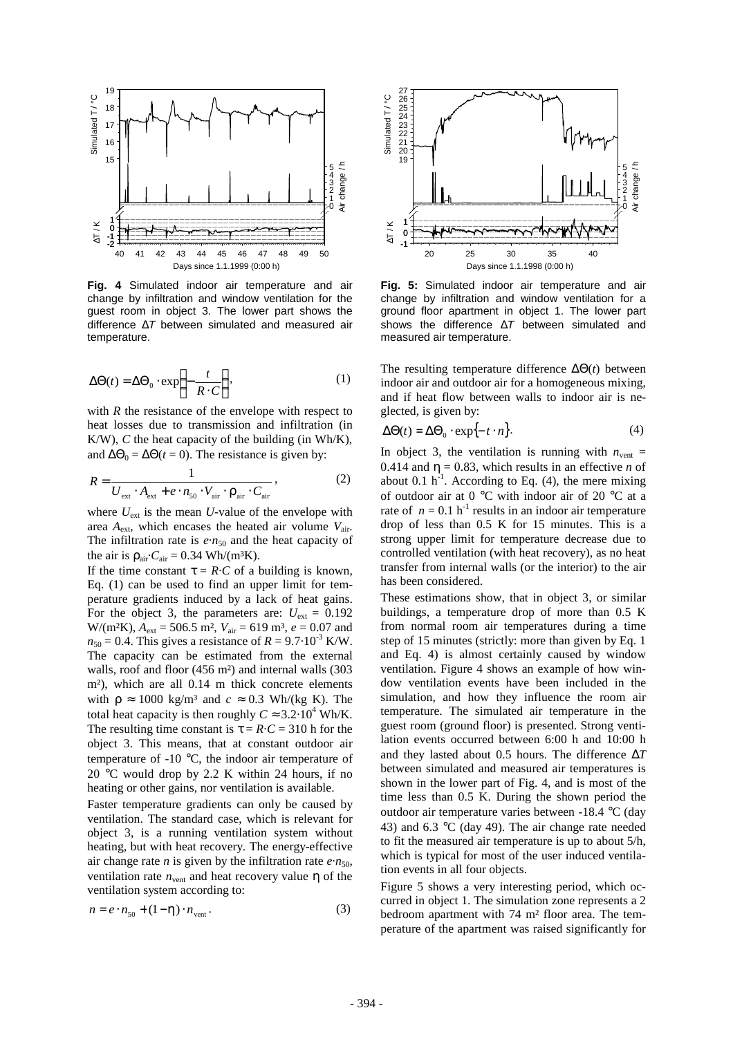

**Fig. 4** Simulated indoor air temperature and air change by infiltration and window ventilation for the guest room in object 3. The lower part shows the difference Δ*T* between simulated and measured air temperature.

$$
\Delta\Theta(t) = \Delta\Theta_0 \cdot \exp\left\{-\frac{t}{R \cdot C}\right\},\tag{1}
$$

with *R* the resistance of the envelope with respect to heat losses due to transmission and infiltration (in K/W), *C* the heat capacity of the building (in Wh/K), and  $\Delta\Theta_0 = \Delta\Theta(t = 0)$ . The resistance is given by:

$$
R = \frac{1}{U_{\text{ext}} \cdot A_{\text{ext}} + e \cdot n_{\text{50}} \cdot V_{\text{air}} \cdot \mathbf{r}_{\text{air}} \cdot C_{\text{air}}},
$$
(2)

where  $U_{ext}$  is the mean *U*-value of the envelope with area *A*ext, which encases the heated air volume *V*air. The infiltration rate is  $e \cdot n_{50}$  and the heat capacity of the air is  $r_{\text{air}}$ ·*C*<sub>air</sub> = 0.34 Wh/(m<sup>3</sup>K).

If the time constant  $\mathbf{t} = R \cdot C$  of a building is known, Eq. (1) can be used to find an upper limit for temperature gradients induced by a lack of heat gains. For the object 3, the parameters are:  $U_{ext} = 0.192$  $W/(m^2K)$ ,  $A_{ext} = 506.5$  m<sup>2</sup>,  $V_{air} = 619$  m<sup>3</sup>,  $e = 0.07$  and  $n_{50} = 0.4$ . This gives a resistance of  $R = 9.7 \cdot 10^{-3}$  K/W. The capacity can be estimated from the external walls, roof and floor (456 m<sup>2</sup>) and internal walls (303 m²), which are all 0.14 m thick concrete elements with  $r \approx 1000 \text{ kg/m}^3$  and  $c \approx 0.3 \text{ Wh/(kg K)}$ . The total heat capacity is then roughly  $C \approx 3.2 \cdot 10^4$  Wh/K. The resulting time constant is  $t = R \cdot C = 310$  h for the object 3. This means, that at constant outdoor air temperature of -10 °C, the indoor air temperature of 20 °C would drop by 2.2 K within 24 hours, if no heating or other gains, nor ventilation is available.

Faster temperature gradients can only be caused by ventilation. The standard case, which is relevant for object 3, is a running ventilation system without heating, but with heat recovery. The energy-effective air change rate *n* is given by the infiltration rate  $e \cdot n_{50}$ , ventilation rate  $n_{\text{vent}}$  and heat recovery value  $\boldsymbol{h}$  of the ventilation system according to:

$$
n = e \cdot n_{50} + (1 - \mathbf{h}) \cdot n_{\text{vent}}.
$$
\n(3)



**Fig. 5:** Simulated indoor air temperature and air change by infiltration and window ventilation for a ground floor apartment in object 1. The lower part shows the difference Δ*T* between simulated and measured air temperature.

The resulting temperature difference  $\Delta\Theta(t)$  between indoor air and outdoor air for a homogeneous mixing, and if heat flow between walls to indoor air is neglected, is given by:

$$
\Delta\Theta(t) = \Delta\Theta_0 \cdot \exp\{-t \cdot n\}.\tag{4}
$$

In object 3, the ventilation is running with  $n_{\text{vent}} =$ 0.414 and  $h = 0.83$ , which results in an effective *n* of about 0.1  $h^{-1}$ . According to Eq. (4), the mere mixing of outdoor air at 0 °C with indoor air of 20 °C at a rate of  $n = 0.1$  h<sup>-1</sup> results in an indoor air temperature drop of less than 0.5 K for 15 minutes. This is a strong upper limit for temperature decrease due to controlled ventilation (with heat recovery), as no heat transfer from internal walls (or the interior) to the air has been considered.

These estimations show, that in object 3, or similar buildings, a temperature drop of more than 0.5 K from normal room air temperatures during a time step of 15 minutes (strictly: more than given by Eq. 1 and Eq. 4) is almost certainly caused by window ventilation. Figure 4 shows an example of how window ventilation events have been included in the simulation, and how they influence the room air temperature. The simulated air temperature in the guest room (ground floor) is presented. Strong ventilation events occurred between 6:00 h and 10:00 h and they lasted about 0.5 hours. The difference Δ*T* between simulated and measured air temperatures is shown in the lower part of Fig. 4, and is most of the time less than 0.5 K. During the shown period the outdoor air temperature varies between -18.4 °C (day 43) and 6.3  $\degree$ C (day 49). The air change rate needed to fit the measured air temperature is up to about 5/h, which is typical for most of the user induced ventilation events in all four objects.

Figure 5 shows a very interesting period, which occurred in object 1. The simulation zone represents a 2 bedroom apartment with 74 m² floor area. The temperature of the apartment was raised significantly for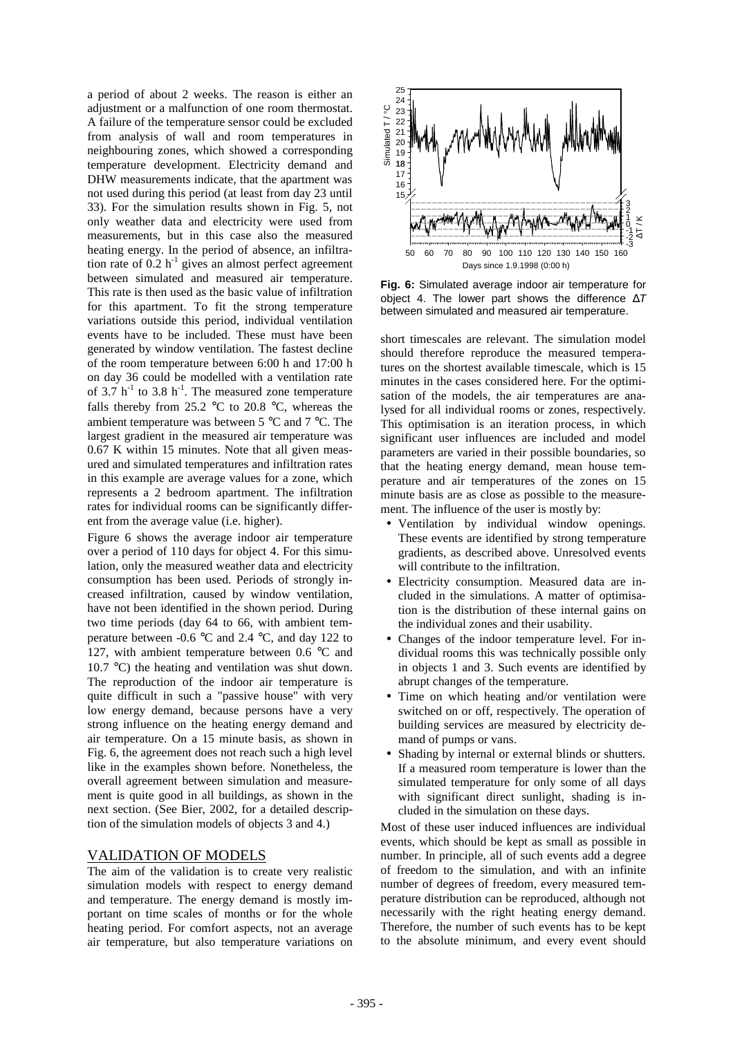a period of about 2 weeks. The reason is either an adjustment or a malfunction of one room thermostat. A failure of the temperature sensor could be excluded from analysis of wall and room temperatures in neighbouring zones, which showed a corresponding temperature development. Electricity demand and DHW measurements indicate, that the apartment was not used during this period (at least from day 23 until 33). For the simulation results shown in Fig. 5, not only weather data and electricity were used from measurements, but in this case also the measured heating energy. In the period of absence, an infiltration rate of  $0.2 h^{-1}$  gives an almost perfect agreement between simulated and measured air temperature. This rate is then used as the basic value of infiltration for this apartment. To fit the strong temperature variations outside this period, individual ventilation events have to be included. These must have been generated by window ventilation. The fastest decline of the room temperature between 6:00 h and 17:00 h on day 36 could be modelled with a ventilation rate of 3.7  $h^{-1}$  to 3.8  $h^{-1}$ . The measured zone temperature falls thereby from 25.2  $\degree$ C to 20.8  $\degree$ C, whereas the ambient temperature was between 5 °C and 7 °C. The largest gradient in the measured air temperature was 0.67 K within 15 minutes. Note that all given measured and simulated temperatures and infiltration rates in this example are average values for a zone, which represents a 2 bedroom apartment. The infiltration rates for individual rooms can be significantly different from the average value (i.e. higher).

Figure 6 shows the average indoor air temperature over a period of 110 days for object 4. For this simulation, only the measured weather data and electricity consumption has been used. Periods of strongly increased infiltration, caused by window ventilation, have not been identified in the shown period. During two time periods (day 64 to 66, with ambient temperature between -0.6 °C and 2.4 °C, and day 122 to 127, with ambient temperature between 0.6 °C and 10.7 °C) the heating and ventilation was shut down. The reproduction of the indoor air temperature is quite difficult in such a "passive house" with very low energy demand, because persons have a very strong influence on the heating energy demand and air temperature. On a 15 minute basis, as shown in Fig. 6, the agreement does not reach such a high level like in the examples shown before. Nonetheless, the overall agreement between simulation and measurement is quite good in all buildings, as shown in the next section. (See Bier, 2002, for a detailed description of the simulation models of objects 3 and 4.)

### VALIDATION OF MODELS

The aim of the validation is to create very realistic simulation models with respect to energy demand and temperature. The energy demand is mostly important on time scales of months or for the whole heating period. For comfort aspects, not an average air temperature, but also temperature variations on



**Fig. 6:** Simulated average indoor air temperature for object 4. The lower part shows the difference Δ*T* between simulated and measured air temperature.

short timescales are relevant. The simulation model should therefore reproduce the measured temperatures on the shortest available timescale, which is 15 minutes in the cases considered here. For the optimisation of the models, the air temperatures are analysed for all individual rooms or zones, respectively. This optimisation is an iteration process, in which significant user influences are included and model parameters are varied in their possible boundaries, so that the heating energy demand, mean house temperature and air temperatures of the zones on 15 minute basis are as close as possible to the measurement. The influence of the user is mostly by:

- •Ventilation by individual window openings. These events are identified by strong temperature gradients, as described above. Unresolved events will contribute to the infiltration.
- •Electricity consumption. Measured data are included in the simulations. A matter of optimisation is the distribution of these internal gains on the individual zones and their usability.
- •Changes of the indoor temperature level. For individual rooms this was technically possible only in objects 1 and 3. Such events are identified by abrupt changes of the temperature.
- Time on which heating and/or ventilation were switched on or off, respectively. The operation of building services are measured by electricity demand of pumps or vans.
- Shading by internal or external blinds or shutters. If a measured room temperature is lower than the simulated temperature for only some of all days with significant direct sunlight, shading is included in the simulation on these days.

Most of these user induced influences are individual events, which should be kept as small as possible in number. In principle, all of such events add a degree of freedom to the simulation, and with an infinite number of degrees of freedom, every measured temperature distribution can be reproduced, although not necessarily with the right heating energy demand. Therefore, the number of such events has to be kept to the absolute minimum, and every event should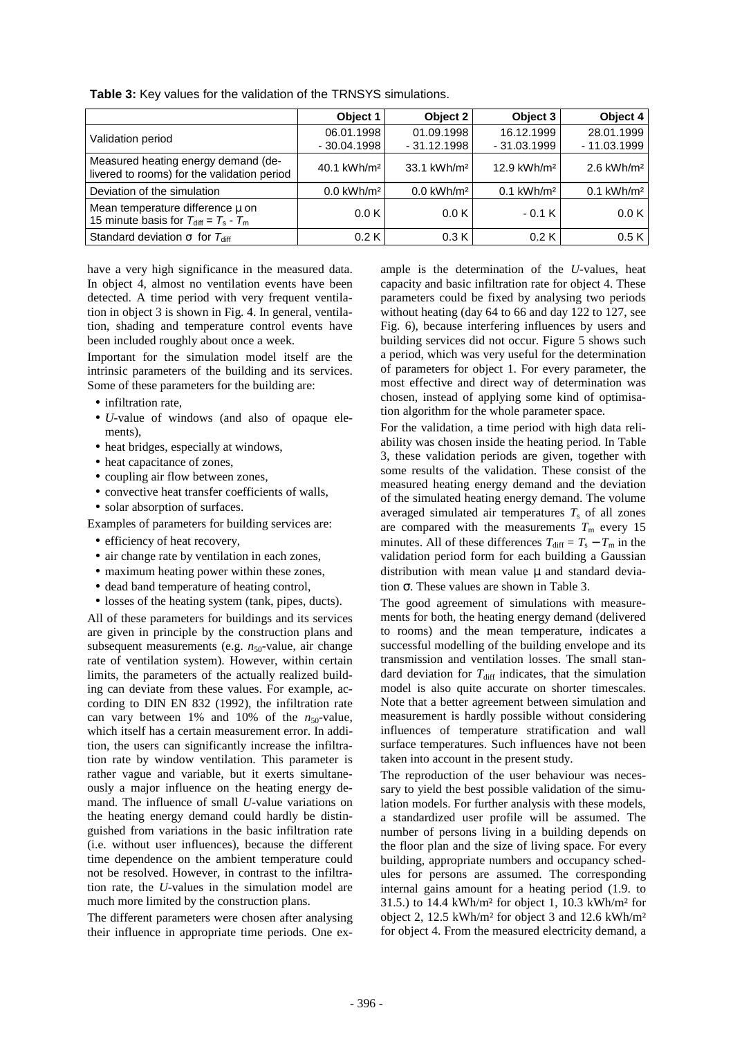|                                                                                      | Object 1                    | Object 2                    | Object 3                    | Object 4                    |
|--------------------------------------------------------------------------------------|-----------------------------|-----------------------------|-----------------------------|-----------------------------|
| Validation period                                                                    | 06.01.1998<br>$-30.04.1998$ | 01.09.1998<br>$-31.12.1998$ | 16.12.1999<br>$-31.03.1999$ | 28.01.1999<br>$-11.03.1999$ |
| Measured heating energy demand (de-<br>livered to rooms) for the validation period   | 40.1 kWh/m <sup>2</sup>     | 33.1 kWh/m <sup>2</sup>     | 12.9 kWh/m <sup>2</sup>     | $2.6$ kWh/m <sup>2</sup>    |
| Deviation of the simulation                                                          | $0.0$ kWh/m <sup>2</sup>    | $0.0$ kWh/m <sup>2</sup>    | $0.1$ kWh/m <sup>2</sup>    | $0.1$ kWh/m <sup>2</sup>    |
| Mean temperature difference mon<br>15 minute basis for $T_{\text{diff}} = T_s - T_m$ | 0.0K                        | 0.0K                        | $-0.1K$                     | 0.0 K                       |
| Standard deviation $s$ for $T_{\text{diff}}$                                         | 0.2K                        | 0.3K                        | 0.2K                        | 0.5K                        |

**Table 3:** Key values for the validation of the TRNSYS simulations.

have a very high significance in the measured data. In object 4, almost no ventilation events have been detected. A time period with very frequent ventilation in object 3 is shown in Fig. 4. In general, ventilation, shading and temperature control events have been included roughly about once a week.

Important for the simulation model itself are the intrinsic parameters of the building and its services. Some of these parameters for the building are:

- infiltration rate,
- •*U*-value of windows (and also of opaque elements),
- heat bridges, especially at windows,
- heat capacitance of zones,
- coupling air flow between zones,
- convective heat transfer coefficients of walls,
- solar absorption of surfaces.

Examples of parameters for building services are:

- efficiency of heat recovery,
- air change rate by ventilation in each zones,
- maximum heating power within these zones,
- dead band temperature of heating control,
- losses of the heating system (tank, pipes, ducts).

All of these parameters for buildings and its services are given in principle by the construction plans and subsequent measurements (e.g.  $n_{50}$ -value, air change rate of ventilation system). However, within certain limits, the parameters of the actually realized building can deviate from these values. For example, according to DIN EN 832 (1992), the infiltration rate can vary between  $1\%$  and  $10\%$  of the  $n_{50}$ -value, which itself has a certain measurement error. In addition, the users can significantly increase the infiltration rate by window ventilation. This parameter is rather vague and variable, but it exerts simultaneously a major influence on the heating energy demand. The influence of small *U*-value variations on the heating energy demand could hardly be distinguished from variations in the basic infiltration rate (i.e. without user influences), because the different time dependence on the ambient temperature could not be resolved. However, in contrast to the infiltration rate, the *U*-values in the simulation model are much more limited by the construction plans.

The different parameters were chosen after analysing their influence in appropriate time periods. One ex-

ample is the determination of the *U*-values, heat capacity and basic infiltration rate for object 4. These parameters could be fixed by analysing two periods without heating (day 64 to 66 and day 122 to 127, see Fig. 6), because interfering influences by users and building services did not occur. Figure 5 shows such a period, which was very useful for the determination of parameters for object 1. For every parameter, the most effective and direct way of determination was chosen, instead of applying some kind of optimisation algorithm for the whole parameter space.

For the validation, a time period with high data reliability was chosen inside the heating period. In Table 3, these validation periods are given, together with some results of the validation. These consist of the measured heating energy demand and the deviation of the simulated heating energy demand. The volume averaged simulated air temperatures  $T<sub>s</sub>$  of all zones are compared with the measurements  $T<sub>m</sub>$  every 15 minutes. All of these differences  $T_{\text{diff}} = T_s - T_m$  in the validation period form for each building a Gaussian distribution with mean value *m* and standard deviation *s*. These values are shown in Table 3.

The good agreement of simulations with measurements for both, the heating energy demand (delivered to rooms) and the mean temperature, indicates a successful modelling of the building envelope and its transmission and ventilation losses. The small standard deviation for  $T_{\text{diff}}$  indicates, that the simulation model is also quite accurate on shorter timescales. Note that a better agreement between simulation and measurement is hardly possible without considering influences of temperature stratification and wall surface temperatures. Such influences have not been taken into account in the present study.

The reproduction of the user behaviour was necessary to yield the best possible validation of the simulation models. For further analysis with these models, a standardized user profile will be assumed. The number of persons living in a building depends on the floor plan and the size of living space. For every building, appropriate numbers and occupancy schedules for persons are assumed. The corresponding internal gains amount for a heating period (1.9. to 31.5.) to 14.4 kWh/m² for object 1, 10.3 kWh/m² for object 2, 12.5 kWh/m² for object 3 and 12.6 kWh/m² for object 4. From the measured electricity demand, a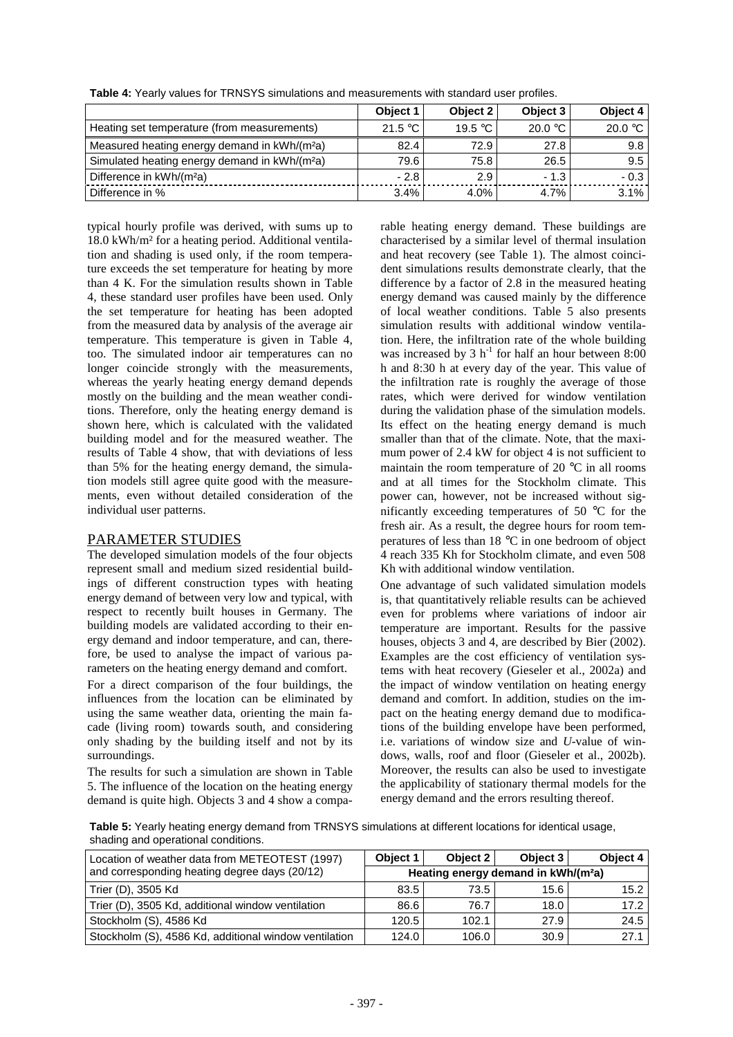|                                                           | Object 1  | Object 2         | Object 3           | Object 4         |
|-----------------------------------------------------------|-----------|------------------|--------------------|------------------|
| Heating set temperature (from measurements)               | 21.5 $°C$ | 19.5 $\degree$ C | 20.0 $\degree$ C l | 20.0 $\degree$ C |
| Measured heating energy demand in kWh/(m <sup>2</sup> a)  | 82.4      | 72.9             | 27.8               | 9.8              |
| Simulated heating energy demand in kWh/(m <sup>2</sup> a) | 79.6      | 75.8             | 26.5               | 9.5              |
| Difference in kWh/(m <sup>2</sup> a)                      | $-2.8$    | 2.9              | $-1.3$             | $-0.3$           |
| Difference in %                                           | 3.4%      | 4.0%             | $4.7\%$            | 3.1%             |

**Table 4:** Yearly values for TRNSYS simulations and measurements with standard user profiles.

typical hourly profile was derived, with sums up to 18.0 kWh/m² for a heating period. Additional ventilation and shading is used only, if the room temperature exceeds the set temperature for heating by more than 4 K. For the simulation results shown in Table 4, these standard user profiles have been used. Only the set temperature for heating has been adopted from the measured data by analysis of the average air temperature. This temperature is given in Table 4, too. The simulated indoor air temperatures can no longer coincide strongly with the measurements, whereas the yearly heating energy demand depends mostly on the building and the mean weather conditions. Therefore, only the heating energy demand is shown here, which is calculated with the validated building model and for the measured weather. The results of Table 4 show, that with deviations of less than 5% for the heating energy demand, the simulation models still agree quite good with the measurements, even without detailed consideration of the individual user patterns.

# PARAMETER STUDIES

The developed simulation models of the four objects represent small and medium sized residential buildings of different construction types with heating energy demand of between very low and typical, with respect to recently built houses in Germany. The building models are validated according to their energy demand and indoor temperature, and can, therefore, be used to analyse the impact of various parameters on the heating energy demand and comfort.

For a direct comparison of the four buildings, the influences from the location can be eliminated by using the same weather data, orienting the main facade (living room) towards south, and considering only shading by the building itself and not by its surroundings.

The results for such a simulation are shown in Table 5. The influence of the location on the heating energy demand is quite high. Objects 3 and 4 show a comparable heating energy demand. These buildings are characterised by a similar level of thermal insulation and heat recovery (see Table 1). The almost coincident simulations results demonstrate clearly, that the difference by a factor of 2.8 in the measured heating energy demand was caused mainly by the difference of local weather conditions. Table 5 also presents simulation results with additional window ventilation. Here, the infiltration rate of the whole building was increased by 3  $h^{-1}$  for half an hour between 8:00 h and 8:30 h at every day of the year. This value of the infiltration rate is roughly the average of those rates, which were derived for window ventilation during the validation phase of the simulation models. Its effect on the heating energy demand is much smaller than that of the climate. Note, that the maximum power of 2.4 kW for object 4 is not sufficient to maintain the room temperature of 20  $^{\circ}$ C in all rooms and at all times for the Stockholm climate. This power can, however, not be increased without significantly exceeding temperatures of 50 °C for the fresh air. As a result, the degree hours for room temperatures of less than 18 °C in one bedroom of object 4 reach 335 Kh for Stockholm climate, and even 508 Kh with additional window ventilation.

One advantage of such validated simulation models is, that quantitatively reliable results can be achieved even for problems where variations of indoor air temperature are important. Results for the passive houses, objects 3 and 4, are described by Bier (2002). Examples are the cost efficiency of ventilation systems with heat recovery (Gieseler et al., 2002a) and the impact of window ventilation on heating energy demand and comfort. In addition, studies on the impact on the heating energy demand due to modifications of the building envelope have been performed, i.e. variations of window size and *U*-value of windows, walls, roof and floor (Gieseler et al., 2002b). Moreover, the results can also be used to investigate the applicability of stationary thermal models for the energy demand and the errors resulting thereof.

**Table 5:** Yearly heating energy demand from TRNSYS simulations at different locations for identical usage, shading and operational conditions.

| Location of weather data from METEOTEST (1997)        | Object 1                                        | Object 2 | Object 3 | Object 4 |
|-------------------------------------------------------|-------------------------------------------------|----------|----------|----------|
| and corresponding heating degree days (20/12)         | Heating energy demand in kWh/(m <sup>2</sup> a) |          |          |          |
| Trier (D), 3505 Kd                                    | 83.5                                            | 73.5     | 15.6     | 15.2     |
| Trier (D), 3505 Kd, additional window ventilation     | 86.6                                            | 76.7     | 18.0     | 17.2     |
| Stockholm (S), 4586 Kd                                | 120.5                                           | 102.1    | 27.9     | 24.5     |
| Stockholm (S), 4586 Kd, additional window ventilation | 124.0                                           | 106.0    | 30.9     | 27.1     |